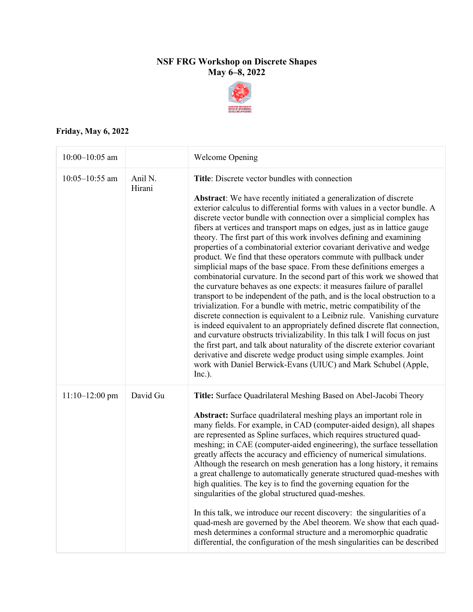## **NSF FRG Workshop on Discrete Shapes May 6–8, 2022**



## **Friday, May 6, 2022**

| $10:00 - 10:05$ am |                   | <b>Welcome Opening</b>                                                                                                                                                                                                                                                                                                                                                                                                                                                                                                                                                                                                                                                                                                                                                                                                                                                                                                                                                                                                                                                                                                                                                                                                                                                                                                                                                                                                                 |
|--------------------|-------------------|----------------------------------------------------------------------------------------------------------------------------------------------------------------------------------------------------------------------------------------------------------------------------------------------------------------------------------------------------------------------------------------------------------------------------------------------------------------------------------------------------------------------------------------------------------------------------------------------------------------------------------------------------------------------------------------------------------------------------------------------------------------------------------------------------------------------------------------------------------------------------------------------------------------------------------------------------------------------------------------------------------------------------------------------------------------------------------------------------------------------------------------------------------------------------------------------------------------------------------------------------------------------------------------------------------------------------------------------------------------------------------------------------------------------------------------|
| $10:05 - 10:55$ am | Anil N.<br>Hirani | Title: Discrete vector bundles with connection<br>Abstract: We have recently initiated a generalization of discrete<br>exterior calculus to differential forms with values in a vector bundle. A<br>discrete vector bundle with connection over a simplicial complex has<br>fibers at vertices and transport maps on edges, just as in lattice gauge<br>theory. The first part of this work involves defining and examining<br>properties of a combinatorial exterior covariant derivative and wedge<br>product. We find that these operators commute with pullback under<br>simplicial maps of the base space. From these definitions emerges a<br>combinatorial curvature. In the second part of this work we showed that<br>the curvature behaves as one expects: it measures failure of parallel<br>transport to be independent of the path, and is the local obstruction to a<br>trivialization. For a bundle with metric, metric compatibility of the<br>discrete connection is equivalent to a Leibniz rule. Vanishing curvature<br>is indeed equivalent to an appropriately defined discrete flat connection,<br>and curvature obstructs trivializability. In this talk I will focus on just<br>the first part, and talk about naturality of the discrete exterior covariant<br>derivative and discrete wedge product using simple examples. Joint<br>work with Daniel Berwick-Evans (UIUC) and Mark Schubel (Apple,<br>Inc.). |
| $11:10-12:00$ pm   | David Gu          | Title: Surface Quadrilateral Meshing Based on Abel-Jacobi Theory<br>Abstract: Surface quadrilateral meshing plays an important role in<br>many fields. For example, in CAD (computer-aided design), all shapes<br>are represented as Spline surfaces, which requires structured quad-<br>meshing; in CAE (computer-aided engineering), the surface tessellation<br>greatly affects the accuracy and efficiency of numerical simulations.<br>Although the research on mesh generation has a long history, it remains<br>a great challenge to automatically generate structured quad-meshes with<br>high qualities. The key is to find the governing equation for the<br>singularities of the global structured quad-meshes.<br>In this talk, we introduce our recent discovery: the singularities of a<br>quad-mesh are governed by the Abel theorem. We show that each quad-<br>mesh determines a conformal structure and a meromorphic quadratic<br>differential, the configuration of the mesh singularities can be described                                                                                                                                                                                                                                                                                                                                                                                                        |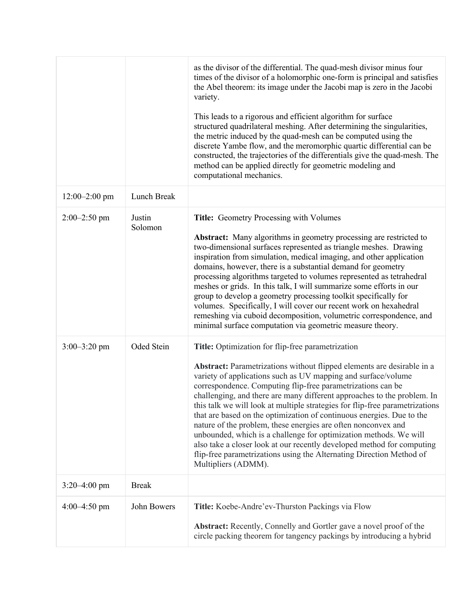|                  |                   | as the divisor of the differential. The quad-mesh divisor minus four<br>times of the divisor of a holomorphic one-form is principal and satisfies<br>the Abel theorem: its image under the Jacobi map is zero in the Jacobi<br>variety.<br>This leads to a rigorous and efficient algorithm for surface<br>structured quadrilateral meshing. After determining the singularities,<br>the metric induced by the quad-mesh can be computed using the<br>discrete Yambe flow, and the meromorphic quartic differential can be<br>constructed, the trajectories of the differentials give the quad-mesh. The<br>method can be applied directly for geometric modeling and<br>computational mechanics.                                                                                                              |
|------------------|-------------------|----------------------------------------------------------------------------------------------------------------------------------------------------------------------------------------------------------------------------------------------------------------------------------------------------------------------------------------------------------------------------------------------------------------------------------------------------------------------------------------------------------------------------------------------------------------------------------------------------------------------------------------------------------------------------------------------------------------------------------------------------------------------------------------------------------------|
| $12:00-2:00$ pm  | Lunch Break       |                                                                                                                                                                                                                                                                                                                                                                                                                                                                                                                                                                                                                                                                                                                                                                                                                |
| $2:00-2:50$ pm   | Justin<br>Solomon | Title: Geometry Processing with Volumes<br><b>Abstract:</b> Many algorithms in geometry processing are restricted to<br>two-dimensional surfaces represented as triangle meshes. Drawing<br>inspiration from simulation, medical imaging, and other application<br>domains, however, there is a substantial demand for geometry<br>processing algorithms targeted to volumes represented as tetrahedral<br>meshes or grids. In this talk, I will summarize some efforts in our<br>group to develop a geometry processing toolkit specifically for<br>volumes. Specifically, I will cover our recent work on hexahedral<br>remeshing via cuboid decomposition, volumetric correspondence, and<br>minimal surface computation via geometric measure theory.                                                      |
| $3:00 - 3:20$ pm | Oded Stein        | Title: Optimization for flip-free parametrization<br>Abstract: Parametrizations without flipped elements are desirable in a<br>variety of applications such as UV mapping and surface/volume<br>correspondence. Computing flip-free parametrizations can be<br>challenging, and there are many different approaches to the problem. In<br>this talk we will look at multiple strategies for flip-free parametrizations<br>that are based on the optimization of continuous energies. Due to the<br>nature of the problem, these energies are often nonconvex and<br>unbounded, which is a challenge for optimization methods. We will<br>also take a closer look at our recently developed method for computing<br>flip-free parametrizations using the Alternating Direction Method of<br>Multipliers (ADMM). |
| $3:20-4:00$ pm   | <b>Break</b>      |                                                                                                                                                                                                                                                                                                                                                                                                                                                                                                                                                                                                                                                                                                                                                                                                                |
| $4:00-4:50$ pm   | John Bowers       | Title: Koebe-Andre'ev-Thurston Packings via Flow<br>Abstract: Recently, Connelly and Gortler gave a novel proof of the<br>circle packing theorem for tangency packings by introducing a hybrid                                                                                                                                                                                                                                                                                                                                                                                                                                                                                                                                                                                                                 |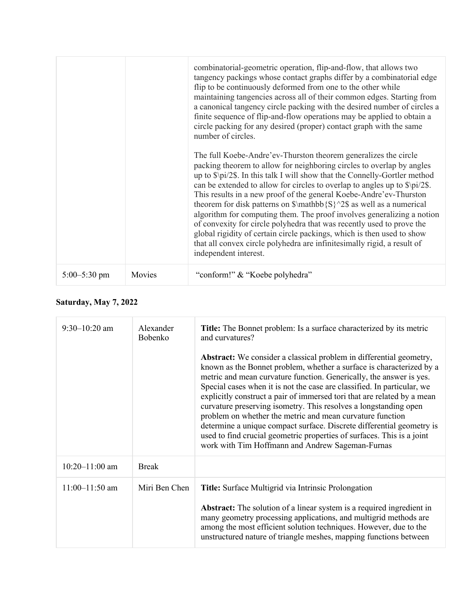|                  |        | combinatorial-geometric operation, flip-and-flow, that allows two<br>tangency packings whose contact graphs differ by a combinatorial edge<br>flip to be continuously deformed from one to the other while<br>maintaining tangencies across all of their common edges. Starting from<br>a canonical tangency circle packing with the desired number of circles a<br>finite sequence of flip-and-flow operations may be applied to obtain a<br>circle packing for any desired (proper) contact graph with the same<br>number of circles.<br>The full Koebe-Andre'ev-Thurston theorem generalizes the circle<br>packing theorem to allow for neighboring circles to overlap by angles |
|------------------|--------|-------------------------------------------------------------------------------------------------------------------------------------------------------------------------------------------------------------------------------------------------------------------------------------------------------------------------------------------------------------------------------------------------------------------------------------------------------------------------------------------------------------------------------------------------------------------------------------------------------------------------------------------------------------------------------------|
|                  |        | up to $\pi/2\$ . In this talk I will show that the Connelly-Gortler method<br>can be extended to allow for circles to overlap to angles up to \$\pi/2\$.<br>This results in a new proof of the general Koebe-Andre'ev-Thurston<br>theorem for disk patterns on $\mathbb{S}^2\$ as well as a numerical<br>algorithm for computing them. The proof involves generalizing a notion<br>of convexity for circle polyhedra that was recently used to prove the<br>global rigidity of certain circle packings, which is then used to show<br>that all convex circle polyhedra are infinitesimally rigid, a result of<br>independent interest.                                              |
| $5:00 - 5:30$ pm | Movies | "conform!" & "Koebe polyhedra"                                                                                                                                                                                                                                                                                                                                                                                                                                                                                                                                                                                                                                                      |

## **Saturday, May 7, 2022**

| $9:30-10:20$ am    | Alexander<br>Bobenko | <b>Title:</b> The Bonnet problem: Is a surface characterized by its metric<br>and curvatures?<br><b>Abstract:</b> We consider a classical problem in differential geometry,<br>known as the Bonnet problem, whether a surface is characterized by a<br>metric and mean curvature function. Generically, the answer is yes.<br>Special cases when it is not the case are classified. In particular, we<br>explicitly construct a pair of immersed tori that are related by a mean<br>curvature preserving isometry. This resolves a longstanding open<br>problem on whether the metric and mean curvature function<br>determine a unique compact surface. Discrete differential geometry is<br>used to find crucial geometric properties of surfaces. This is a joint<br>work with Tim Hoffmann and Andrew Sageman-Furnas |
|--------------------|----------------------|--------------------------------------------------------------------------------------------------------------------------------------------------------------------------------------------------------------------------------------------------------------------------------------------------------------------------------------------------------------------------------------------------------------------------------------------------------------------------------------------------------------------------------------------------------------------------------------------------------------------------------------------------------------------------------------------------------------------------------------------------------------------------------------------------------------------------|
| $10:20 - 11:00$ am | <b>Break</b>         |                                                                                                                                                                                                                                                                                                                                                                                                                                                                                                                                                                                                                                                                                                                                                                                                                          |
| $11:00-11:50$ am   | Miri Ben Chen        | Title: Surface Multigrid via Intrinsic Prolongation<br><b>Abstract:</b> The solution of a linear system is a required ingredient in<br>many geometry processing applications, and multigrid methods are<br>among the most efficient solution techniques. However, due to the<br>unstructured nature of triangle meshes, mapping functions between                                                                                                                                                                                                                                                                                                                                                                                                                                                                        |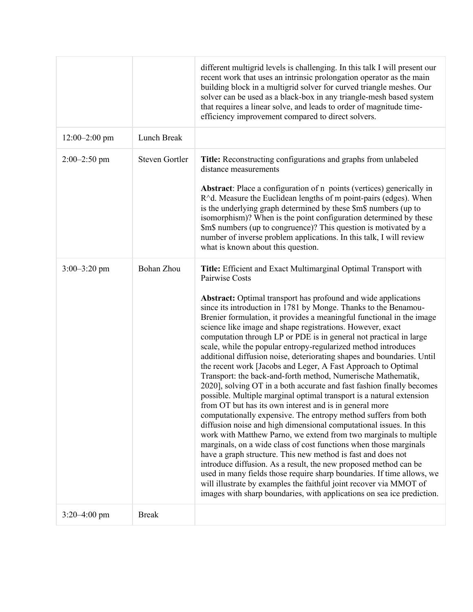|                   |                       | different multigrid levels is challenging. In this talk I will present our<br>recent work that uses an intrinsic prolongation operator as the main<br>building block in a multigrid solver for curved triangle meshes. Our<br>solver can be used as a black-box in any triangle-mesh based system<br>that requires a linear solve, and leads to order of magnitude time-<br>efficiency improvement compared to direct solvers.                                                                                                                                                                                                                                                                                                                                                                                                                                                                                                                                                                                                                                                                                                                                                                                                                                                                                                                                                                                                                                                                                                                                                       |
|-------------------|-----------------------|--------------------------------------------------------------------------------------------------------------------------------------------------------------------------------------------------------------------------------------------------------------------------------------------------------------------------------------------------------------------------------------------------------------------------------------------------------------------------------------------------------------------------------------------------------------------------------------------------------------------------------------------------------------------------------------------------------------------------------------------------------------------------------------------------------------------------------------------------------------------------------------------------------------------------------------------------------------------------------------------------------------------------------------------------------------------------------------------------------------------------------------------------------------------------------------------------------------------------------------------------------------------------------------------------------------------------------------------------------------------------------------------------------------------------------------------------------------------------------------------------------------------------------------------------------------------------------------|
| $12:00 - 2:00$ pm | Lunch Break           |                                                                                                                                                                                                                                                                                                                                                                                                                                                                                                                                                                                                                                                                                                                                                                                                                                                                                                                                                                                                                                                                                                                                                                                                                                                                                                                                                                                                                                                                                                                                                                                      |
| $2:00 - 2:50$ pm  | <b>Steven Gortler</b> | Title: Reconstructing configurations and graphs from unlabeled<br>distance measurements<br>Abstract: Place a configuration of n points (vertices) generically in<br>R^d. Measure the Euclidean lengths of m point-pairs (edges). When<br>is the underlying graph determined by these \$m\$ numbers (up to<br>isomorphism)? When is the point configuration determined by these<br>\$m\$ numbers (up to congruence)? This question is motivated by a<br>number of inverse problem applications. In this talk, I will review<br>what is known about this question.                                                                                                                                                                                                                                                                                                                                                                                                                                                                                                                                                                                                                                                                                                                                                                                                                                                                                                                                                                                                                     |
| $3:00 - 3:20$ pm  | Bohan Zhou            | Title: Efficient and Exact Multimarginal Optimal Transport with<br>Pairwise Costs<br><b>Abstract:</b> Optimal transport has profound and wide applications<br>since its introduction in 1781 by Monge. Thanks to the Benamou-<br>Brenier formulation, it provides a meaningful functional in the image<br>science like image and shape registrations. However, exact<br>computation through LP or PDE is in general not practical in large<br>scale, while the popular entropy-regularized method introduces<br>additional diffusion noise, deteriorating shapes and boundaries. Until<br>the recent work [Jacobs and Leger, A Fast Approach to Optimal<br>Transport: the back-and-forth method, Numerische Mathematik,<br>2020], solving OT in a both accurate and fast fashion finally becomes<br>possible. Multiple marginal optimal transport is a natural extension<br>from OT but has its own interest and is in general more<br>computationally expensive. The entropy method suffers from both<br>diffusion noise and high dimensional computational issues. In this<br>work with Matthew Parno, we extend from two marginals to multiple<br>marginals, on a wide class of cost functions when those marginals<br>have a graph structure. This new method is fast and does not<br>introduce diffusion. As a result, the new proposed method can be<br>used in many fields those require sharp boundaries. If time allows, we<br>will illustrate by examples the faithful joint recover via MMOT of<br>images with sharp boundaries, with applications on sea ice prediction. |
| $3:20-4:00$ pm    | <b>Break</b>          |                                                                                                                                                                                                                                                                                                                                                                                                                                                                                                                                                                                                                                                                                                                                                                                                                                                                                                                                                                                                                                                                                                                                                                                                                                                                                                                                                                                                                                                                                                                                                                                      |